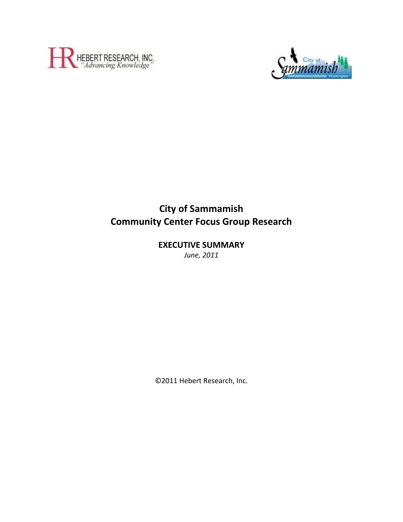



# **City of Sammamish Community Center Focus Group Research**

# **EXECUTIVE SUMMARY**

*June, 2011*

©2011 Hebert Research, Inc.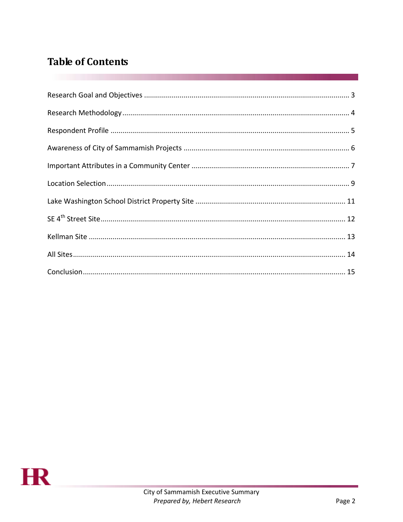# **Table of Contents**

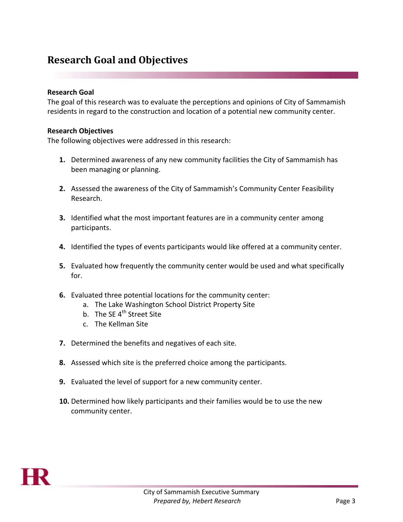## <span id="page-2-0"></span>**Research Goal and Objectives**

### **Research Goal**

The goal of this research was to evaluate the perceptions and opinions of City of Sammamish residents in regard to the construction and location of a potential new community center.

### **Research Objectives**

The following objectives were addressed in this research:

- **1.** Determined awareness of any new community facilities the City of Sammamish has been managing or planning.
- **2.** Assessed the awareness of the City of Sammamish's Community Center Feasibility Research.
- **3.** Identified what the most important features are in a community center among participants.
- **4.** Identified the types of events participants would like offered at a community center.
- **5.** Evaluated how frequently the community center would be used and what specifically for.
- **6.** Evaluated three potential locations for the community center:
	- a. The Lake Washington School District Property Site
	- b. The SE 4<sup>th</sup> Street Site
	- c. The Kellman Site
- **7.** Determined the benefits and negatives of each site.
- **8.** Assessed which site is the preferred choice among the participants.
- **9.** Evaluated the level of support for a new community center.
- **10.** Determined how likely participants and their families would be to use the new community center.

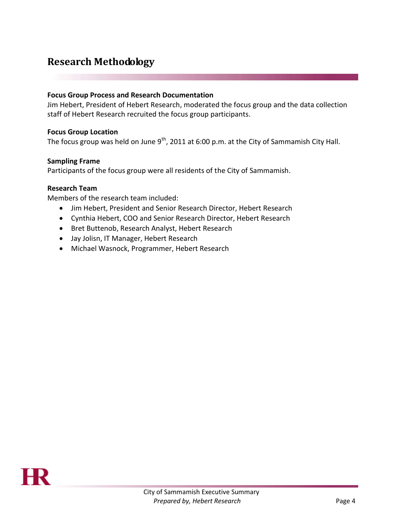# <span id="page-3-0"></span>**Research Methodology**

### **Focus Group Process and Research Documentation**

Jim Hebert, President of Hebert Research, moderated the focus group and the data collection staff of Hebert Research recruited the focus group participants.

### **Focus Group Location**

The focus group was held on June  $9<sup>th</sup>$ , 2011 at 6:00 p.m. at the City of Sammamish City Hall.

### **Sampling Frame**

Participants of the focus group were all residents of the City of Sammamish.

### **Research Team**

Members of the research team included:

- Jim Hebert, President and Senior Research Director, Hebert Research
- Cynthia Hebert, COO and Senior Research Director, Hebert Research
- Bret Buttenob, Research Analyst, Hebert Research
- Jay Jolisn, IT Manager, Hebert Research
- Michael Wasnock, Programmer, Hebert Research

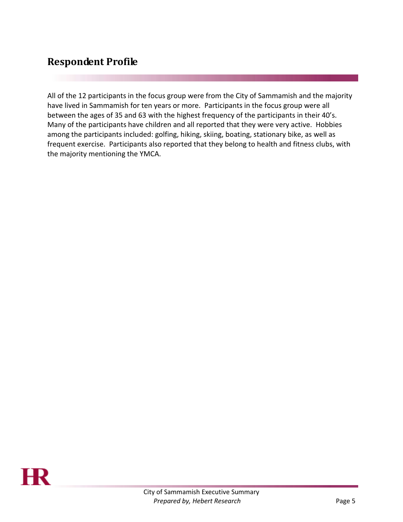# <span id="page-4-0"></span>**Respondent Profile**

All of the 12 participants in the focus group were from the City of Sammamish and the majority have lived in Sammamish for ten years or more. Participants in the focus group were all between the ages of 35 and 63 with the highest frequency of the participants in their 40's. Many of the participants have children and all reported that they were very active. Hobbies among the participants included: golfing, hiking, skiing, boating, stationary bike, as well as frequent exercise. Participants also reported that they belong to health and fitness clubs, with the majority mentioning the YMCA.

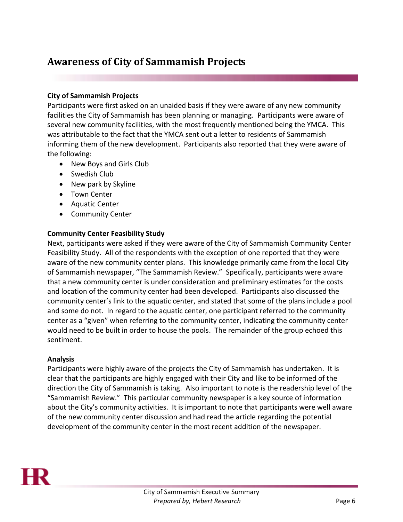# <span id="page-5-0"></span>**Awareness of City of Sammamish Projects**

## **City of Sammamish Projects**

Participants were first asked on an unaided basis if they were aware of any new community facilities the City of Sammamish has been planning or managing. Participants were aware of several new community facilities, with the most frequently mentioned being the YMCA. This was attributable to the fact that the YMCA sent out a letter to residents of Sammamish informing them of the new development. Participants also reported that they were aware of the following:

- New Boys and Girls Club
- Swedish Club
- New park by Skyline
- Town Center
- Aquatic Center
- **•** Community Center

## **Community Center Feasibility Study**

Next, participants were asked if they were aware of the City of Sammamish Community Center Feasibility Study. All of the respondents with the exception of one reported that they were aware of the new community center plans. This knowledge primarily came from the local City of Sammamish newspaper, "The Sammamish Review." Specifically, participants were aware that a new community center is under consideration and preliminary estimates for the costs and location of the community center had been developed. Participants also discussed the community center's link to the aquatic center, and stated that some of the plans include a pool and some do not. In regard to the aquatic center, one participant referred to the community center as a "given" when referring to the community center, indicating the community center would need to be built in order to house the pools. The remainder of the group echoed this sentiment.

## **Analysis**

Participants were highly aware of the projects the City of Sammamish has undertaken. It is clear that the participants are highly engaged with their City and like to be informed of the direction the City of Sammamish is taking. Also important to note is the readership level of the "Sammamish Review." This particular community newspaper is a key source of information about the City's community activities. It is important to note that participants were well aware of the new community center discussion and had read the article regarding the potential development of the community center in the most recent addition of the newspaper.

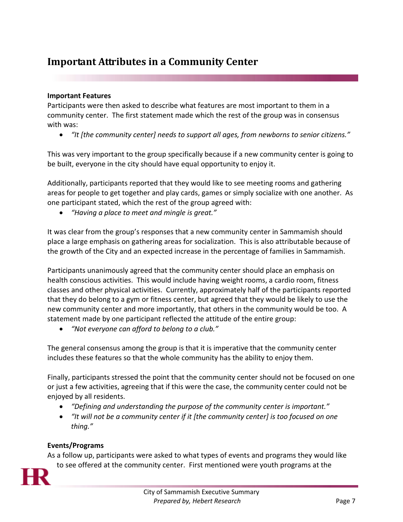# <span id="page-6-0"></span>**Important Attributes in a Community Center**

## **Important Features**

Participants were then asked to describe what features are most important to them in a community center. The first statement made which the rest of the group was in consensus with was:

*"It [the community center] needs to support all ages, from newborns to senior citizens."*

This was very important to the group specifically because if a new community center is going to be built, everyone in the city should have equal opportunity to enjoy it.

Additionally, participants reported that they would like to see meeting rooms and gathering areas for people to get together and play cards, games or simply socialize with one another. As one participant stated, which the rest of the group agreed with:

*"Having a place to meet and mingle is great."*

It was clear from the group's responses that a new community center in Sammamish should place a large emphasis on gathering areas for socialization. This is also attributable because of the growth of the City and an expected increase in the percentage of families in Sammamish.

Participants unanimously agreed that the community center should place an emphasis on health conscious activities. This would include having weight rooms, a cardio room, fitness classes and other physical activities. Currently, approximately half of the participants reported that they do belong to a gym or fitness center, but agreed that they would be likely to use the new community center and more importantly, that others in the community would be too. A statement made by one participant reflected the attitude of the entire group:

*"Not everyone can afford to belong to a club."*

The general consensus among the group is that it is imperative that the community center includes these features so that the whole community has the ability to enjoy them.

Finally, participants stressed the point that the community center should not be focused on one or just a few activities, agreeing that if this were the case, the community center could not be enjoyed by all residents.

- *"Defining and understanding the purpose of the community center is important."*
- *"It will not be a community center if it [the community center] is too focused on one thing."*

### **Events/Programs**

As a follow up, participants were asked to what types of events and programs they would like to see offered at the community center. First mentioned were youth programs at the

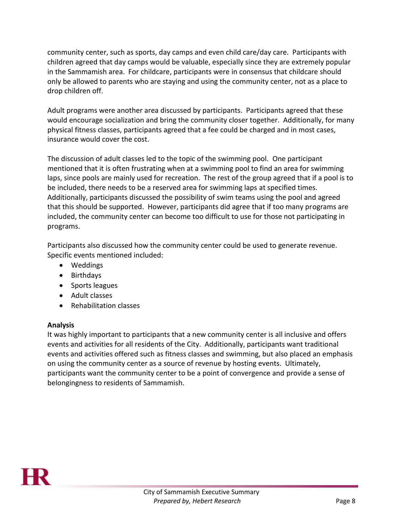community center, such as sports, day camps and even child care/day care. Participants with children agreed that day camps would be valuable, especially since they are extremely popular in the Sammamish area. For childcare, participants were in consensus that childcare should only be allowed to parents who are staying and using the community center, not as a place to drop children off.

Adult programs were another area discussed by participants. Participants agreed that these would encourage socialization and bring the community closer together. Additionally, for many physical fitness classes, participants agreed that a fee could be charged and in most cases, insurance would cover the cost.

The discussion of adult classes led to the topic of the swimming pool. One participant mentioned that it is often frustrating when at a swimming pool to find an area for swimming laps, since pools are mainly used for recreation. The rest of the group agreed that if a pool is to be included, there needs to be a reserved area for swimming laps at specified times. Additionally, participants discussed the possibility of swim teams using the pool and agreed that this should be supported. However, participants did agree that if too many programs are included, the community center can become too difficult to use for those not participating in programs.

Participants also discussed how the community center could be used to generate revenue. Specific events mentioned included:

- Weddings
- Birthdays
- Sports leagues
- Adult classes
- Rehabilitation classes

## **Analysis**

It was highly important to participants that a new community center is all inclusive and offers events and activities for all residents of the City. Additionally, participants want traditional events and activities offered such as fitness classes and swimming, but also placed an emphasis on using the community center as a source of revenue by hosting events. Ultimately, participants want the community center to be a point of convergence and provide a sense of belongingness to residents of Sammamish.

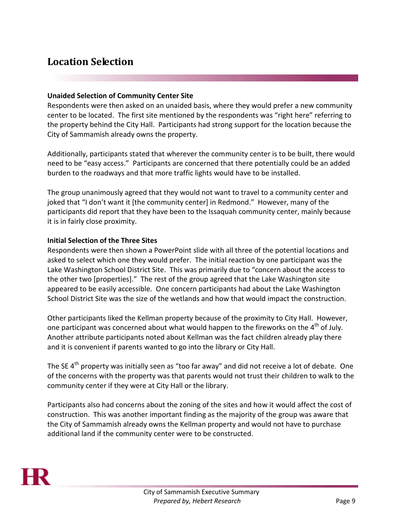# <span id="page-8-0"></span>**Location Selection**

### **Unaided Selection of Community Center Site**

Respondents were then asked on an unaided basis, where they would prefer a new community center to be located. The first site mentioned by the respondents was "right here" referring to the property behind the City Hall. Participants had strong support for the location because the City of Sammamish already owns the property.

Additionally, participants stated that wherever the community center is to be built, there would need to be "easy access." Participants are concerned that there potentially could be an added burden to the roadways and that more traffic lights would have to be installed.

The group unanimously agreed that they would not want to travel to a community center and joked that "I don't want it [the community center] in Redmond." However, many of the participants did report that they have been to the Issaquah community center, mainly because it is in fairly close proximity.

## **Initial Selection of the Three Sites**

Respondents were then shown a PowerPoint slide with all three of the potential locations and asked to select which one they would prefer. The initial reaction by one participant was the Lake Washington School District Site. This was primarily due to "concern about the access to the other two [properties]." The rest of the group agreed that the Lake Washington site appeared to be easily accessible. One concern participants had about the Lake Washington School District Site was the size of the wetlands and how that would impact the construction.

Other participants liked the Kellman property because of the proximity to City Hall. However, one participant was concerned about what would happen to the fireworks on the  $4<sup>th</sup>$  of July. Another attribute participants noted about Kellman was the fact children already play there and it is convenient if parents wanted to go into the library or City Hall.

The SE 4<sup>th</sup> property was initially seen as "too far away" and did not receive a lot of debate. One of the concerns with the property was that parents would not trust their children to walk to the community center if they were at City Hall or the library.

Participants also had concerns about the zoning of the sites and how it would affect the cost of construction. This was another important finding as the majority of the group was aware that the City of Sammamish already owns the Kellman property and would not have to purchase additional land if the community center were to be constructed.

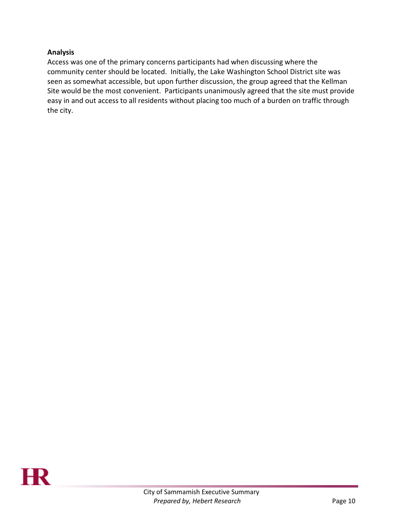## **Analysis**

<span id="page-9-0"></span>Access was one of the primary concerns participants had when discussing where the community center should be located. Initially, the Lake Washington School District site was seen as somewhat accessible, but upon further discussion, the group agreed that the Kellman Site would be the most convenient. Participants unanimously agreed that the site must provide easy in and out access to all residents without placing too much of a burden on traffic through the city.

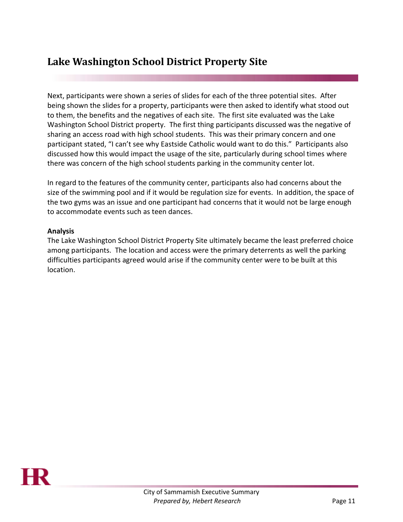# **Lake Washington School District Property Site**

Next, participants were shown a series of slides for each of the three potential sites. After being shown the slides for a property, participants were then asked to identify what stood out to them, the benefits and the negatives of each site. The first site evaluated was the Lake Washington School District property. The first thing participants discussed was the negative of sharing an access road with high school students. This was their primary concern and one participant stated, "I can't see why Eastside Catholic would want to do this." Participants also discussed how this would impact the usage of the site, particularly during school times where there was concern of the high school students parking in the community center lot.

In regard to the features of the community center, participants also had concerns about the size of the swimming pool and if it would be regulation size for events. In addition, the space of the two gyms was an issue and one participant had concerns that it would not be large enough to accommodate events such as teen dances.

### **Analysis**

The Lake Washington School District Property Site ultimately became the least preferred choice among participants. The location and access were the primary deterrents as well the parking difficulties participants agreed would arise if the community center were to be built at this location.

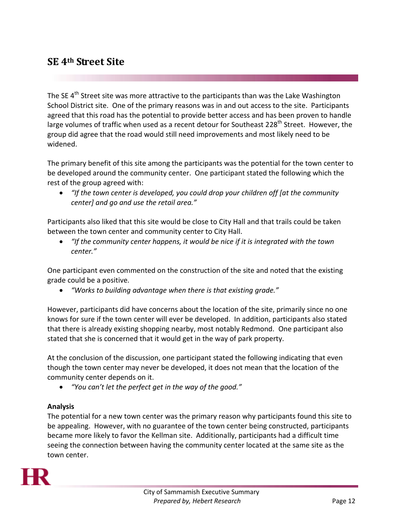## <span id="page-11-0"></span>**SE 4th Street Site**

The SE 4<sup>th</sup> Street site was more attractive to the participants than was the Lake Washington School District site. One of the primary reasons was in and out access to the site. Participants agreed that this road has the potential to provide better access and has been proven to handle large volumes of traffic when used as a recent detour for Southeast 228<sup>th</sup> Street. However, the group did agree that the road would still need improvements and most likely need to be widened.

The primary benefit of this site among the participants was the potential for the town center to be developed around the community center. One participant stated the following which the rest of the group agreed with:

 *"If the town center is developed, you could drop your children off [at the community center] and go and use the retail area."*

Participants also liked that this site would be close to City Hall and that trails could be taken between the town center and community center to City Hall.

 *"If the community center happens, it would be nice if it is integrated with the town center."*

One participant even commented on the construction of the site and noted that the existing grade could be a positive.

*"Works to building advantage when there is that existing grade."*

However, participants did have concerns about the location of the site, primarily since no one knows for sure if the town center will ever be developed. In addition, participants also stated that there is already existing shopping nearby, most notably Redmond. One participant also stated that she is concerned that it would get in the way of park property.

At the conclusion of the discussion, one participant stated the following indicating that even though the town center may never be developed, it does not mean that the location of the community center depends on it.

*"You can't let the perfect get in the way of the good."*

## **Analysis**

The potential for a new town center was the primary reason why participants found this site to be appealing. However, with no guarantee of the town center being constructed, participants became more likely to favor the Kellman site. Additionally, participants had a difficult time seeing the connection between having the community center located at the same site as the town center.

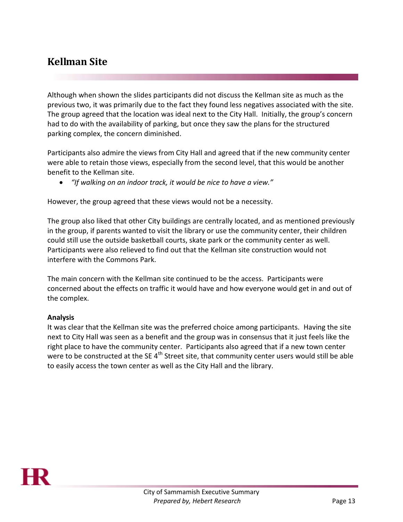# <span id="page-12-0"></span>**Kellman Site**

Although when shown the slides participants did not discuss the Kellman site as much as the previous two, it was primarily due to the fact they found less negatives associated with the site. The group agreed that the location was ideal next to the City Hall. Initially, the group's concern had to do with the availability of parking, but once they saw the plans for the structured parking complex, the concern diminished.

Participants also admire the views from City Hall and agreed that if the new community center were able to retain those views, especially from the second level, that this would be another benefit to the Kellman site.

*"If walking on an indoor track, it would be nice to have a view."*

However, the group agreed that these views would not be a necessity.

The group also liked that other City buildings are centrally located, and as mentioned previously in the group, if parents wanted to visit the library or use the community center, their children could still use the outside basketball courts, skate park or the community center as well. Participants were also relieved to find out that the Kellman site construction would not interfere with the Commons Park.

The main concern with the Kellman site continued to be the access. Participants were concerned about the effects on traffic it would have and how everyone would get in and out of the complex.

## **Analysis**

It was clear that the Kellman site was the preferred choice among participants. Having the site next to City Hall was seen as a benefit and the group was in consensus that it just feels like the right place to have the community center. Participants also agreed that if a new town center were to be constructed at the SE 4<sup>th</sup> Street site, that community center users would still be able to easily access the town center as well as the City Hall and the library.

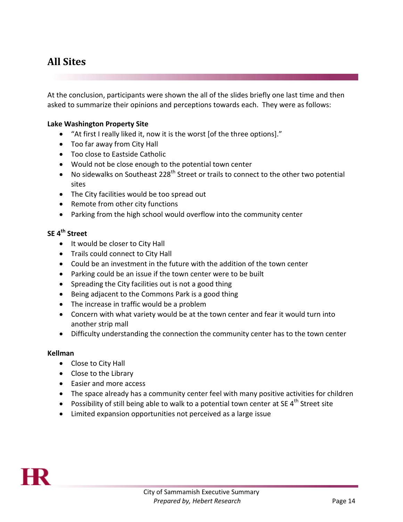# <span id="page-13-0"></span>**All Sites**

At the conclusion, participants were shown the all of the slides briefly one last time and then asked to summarize their opinions and perceptions towards each. They were as follows:

### **Lake Washington Property Site**

- "At first I really liked it, now it is the worst [of the three options]."
- Too far away from City Hall
- Too close to Eastside Catholic
- Would not be close enough to the potential town center
- $\bullet$  No sidewalks on Southeast 228<sup>th</sup> Street or trails to connect to the other two potential sites
- The City facilities would be too spread out
- Remote from other city functions
- Parking from the high school would overflow into the community center

## **SE 4th Street**

- It would be closer to City Hall
- Trails could connect to City Hall
- Could be an investment in the future with the addition of the town center
- Parking could be an issue if the town center were to be built
- Spreading the City facilities out is not a good thing
- Being adjacent to the Commons Park is a good thing
- The increase in traffic would be a problem
- Concern with what variety would be at the town center and fear it would turn into another strip mall
- Difficulty understanding the connection the community center has to the town center

#### **Kellman**

- Close to City Hall
- Close to the Library
- Easier and more access
- The space already has a community center feel with many positive activities for children
- Possibility of still being able to walk to a potential town center at SE  $4<sup>th</sup>$  Street site
- Limited expansion opportunities not perceived as a large issue